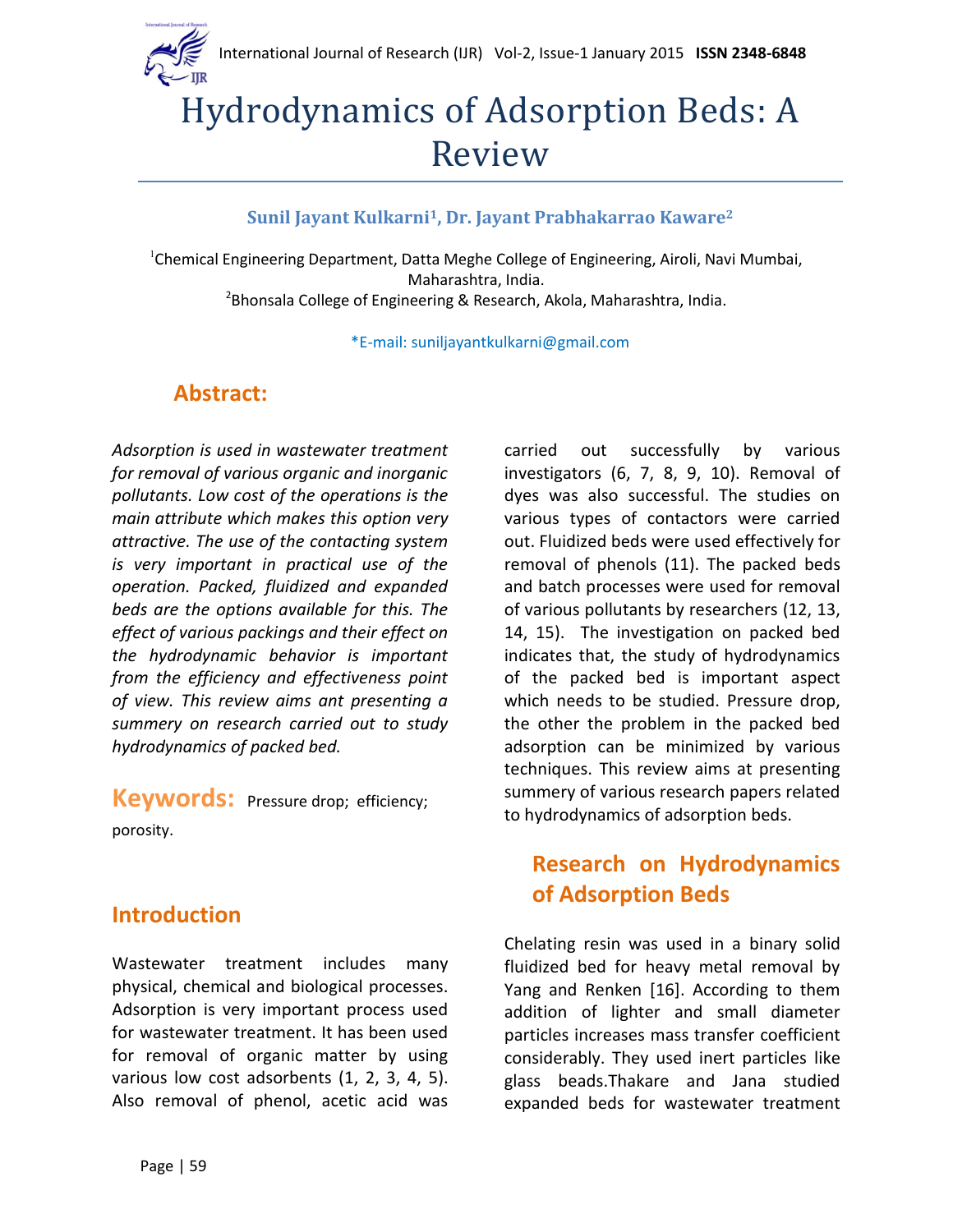

# Hydrodynamics of Adsorption Beds: A Review

#### **Sunil Jayant Kulkarni1, Dr. Jayant Prabhakarrao Kaware<sup>2</sup>**

<sup>1</sup>Chemical Engineering Department, Datta Meghe College of Engineering, Airoli, Navi Mumbai, Maharashtra, India.

<sup>2</sup>Bhonsala College of Engineering & Research, Akola, Maharashtra, India.

\*E-mail: suniljayantkulkarni@gmail.com

#### **Abstract:**

*Adsorption is used in wastewater treatment for removal of various organic and inorganic pollutants. Low cost of the operations is the main attribute which makes this option very attractive. The use of the contacting system is very important in practical use of the operation. Packed, fluidized and expanded beds are the options available for this. The effect of various packings and their effect on the hydrodynamic behavior is important from the efficiency and effectiveness point of view. This review aims ant presenting a summery on research carried out to study hydrodynamics of packed bed.*

**Keywords:** Pressure drop; efficiency; porosity.

#### **Introduction**

Wastewater treatment includes many physical, chemical and biological processes. Adsorption is very important process used for wastewater treatment. It has been used for removal of organic matter by using various low cost adsorbents (1, 2, 3, 4, 5). Also removal of phenol, acetic acid was

carried out successfully by various investigators (6, 7, 8, 9, 10). Removal of dyes was also successful. The studies on various types of contactors were carried out. Fluidized beds were used effectively for removal of phenols (11). The packed beds and batch processes were used for removal of various pollutants by researchers (12, 13, 14, 15). The investigation on packed bed indicates that, the study of hydrodynamics of the packed bed is important aspect which needs to be studied. Pressure drop, the other the problem in the packed bed adsorption can be minimized by various techniques. This review aims at presenting summery of various research papers related to hydrodynamics of adsorption beds.

### **Research on Hydrodynamics of Adsorption Beds**

Chelating resin was used in a binary solid fluidized bed for heavy metal removal by Yang and Renken [16]. According to them addition of lighter and small diameter particles increases mass transfer coefficient considerably. They used inert particles like glass beads.Thakare and Jana studied expanded beds for wastewater treatment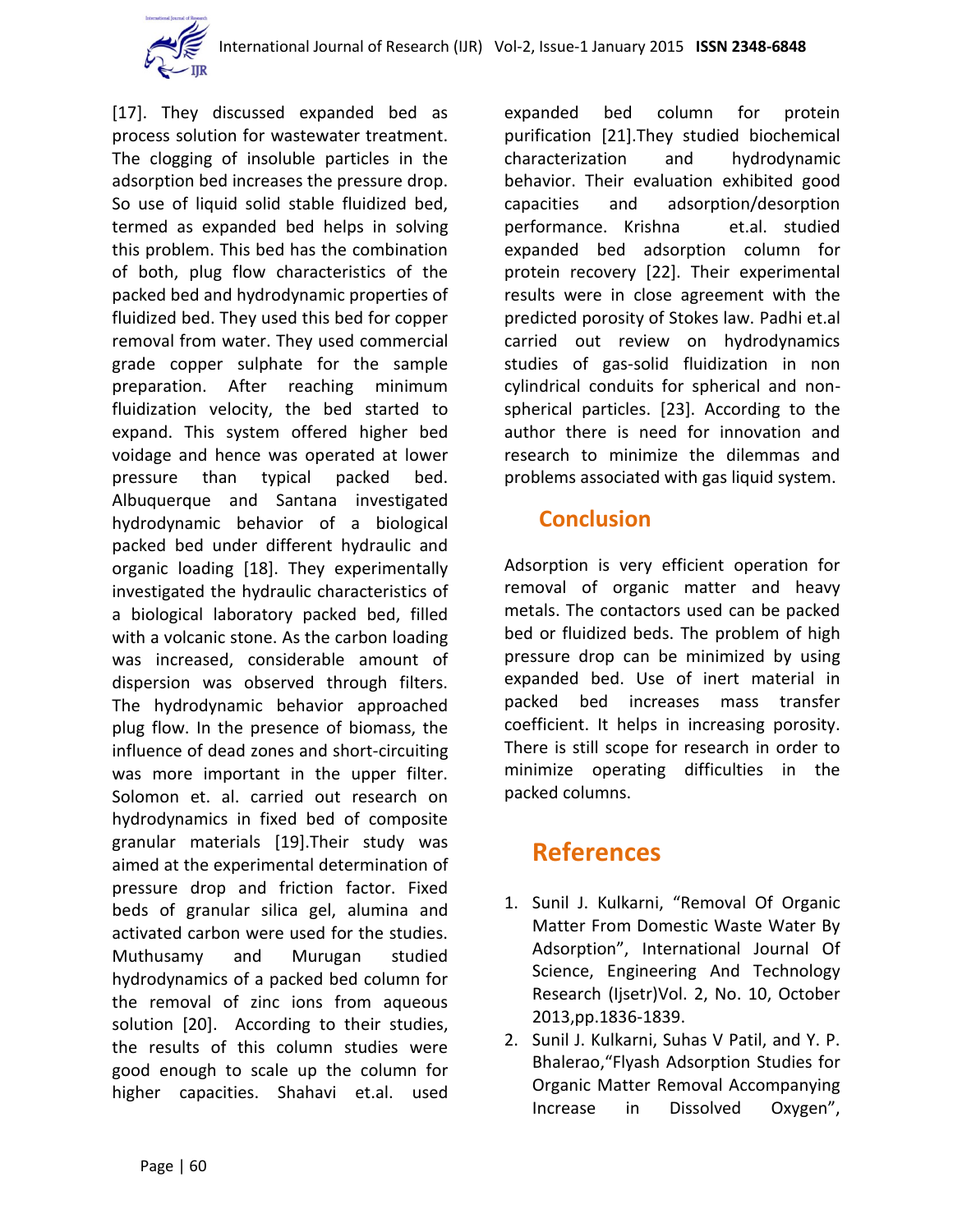

[17]. They discussed expanded bed as process solution for wastewater treatment. The clogging of insoluble particles in the adsorption bed increases the pressure drop. So use of liquid solid stable fluidized bed, termed as expanded bed helps in solving this problem. This bed has the combination of both, plug flow characteristics of the packed bed and hydrodynamic properties of fluidized bed. They used this bed for copper removal from water. They used commercial grade copper sulphate for the sample preparation. After reaching minimum fluidization velocity, the bed started to expand. This system offered higher bed voidage and hence was operated at lower pressure than typical packed bed. Albuquerque and Santana investigated hydrodynamic behavior of a biological packed bed under different hydraulic and organic loading [18]. They experimentally investigated the hydraulic characteristics of a biological laboratory packed bed, filled with a volcanic stone. As the carbon loading was increased, considerable amount of dispersion was observed through filters. The hydrodynamic behavior approached plug flow. In the presence of biomass, the influence of dead zones and short-circuiting was more important in the upper filter. Solomon et. al. carried out research on hydrodynamics in fixed bed of composite granular materials [19].Their study was aimed at the experimental determination of pressure drop and friction factor. Fixed beds of granular silica gel, alumina and activated carbon were used for the studies. Muthusamy and Murugan studied hydrodynamics of a packed bed column for the removal of zinc ions from aqueous solution [20]. According to their studies, the results of this column studies were good enough to scale up the column for higher capacities. Shahavi et.al. used

expanded bed column for protein purification [21].They studied biochemical characterization and hydrodynamic behavior. Their evaluation exhibited good capacities and adsorption/desorption performance. Krishna et.al. studied expanded bed adsorption column for protein recovery [22]. Their experimental results were in close agreement with the predicted porosity of Stokes law. Padhi et.al carried out review on hydrodynamics studies of gas-solid fluidization in non cylindrical conduits for spherical and nonspherical particles. [23]. According to the author there is need for innovation and research to minimize the dilemmas and problems associated with gas liquid system.

#### **Conclusion**

Adsorption is very efficient operation for removal of organic matter and heavy metals. The contactors used can be packed bed or fluidized beds. The problem of high pressure drop can be minimized by using expanded bed. Use of inert material in packed bed increases mass transfer coefficient. It helps in increasing porosity. There is still scope for research in order to minimize operating difficulties in the packed columns.

## **References**

- 1. Sunil J. Kulkarni, "Removal Of Organic Matter From Domestic Waste Water By Adsorption", International Journal Of Science, Engineering And Technology Research (Ijsetr)Vol. 2, No. 10, October 2013,pp.1836-1839.
- 2. Sunil J. Kulkarni, Suhas V Patil, and Y. P. Bhalerao,"Flyash Adsorption Studies for Organic Matter Removal Accompanying Increase in Dissolved Oxygen",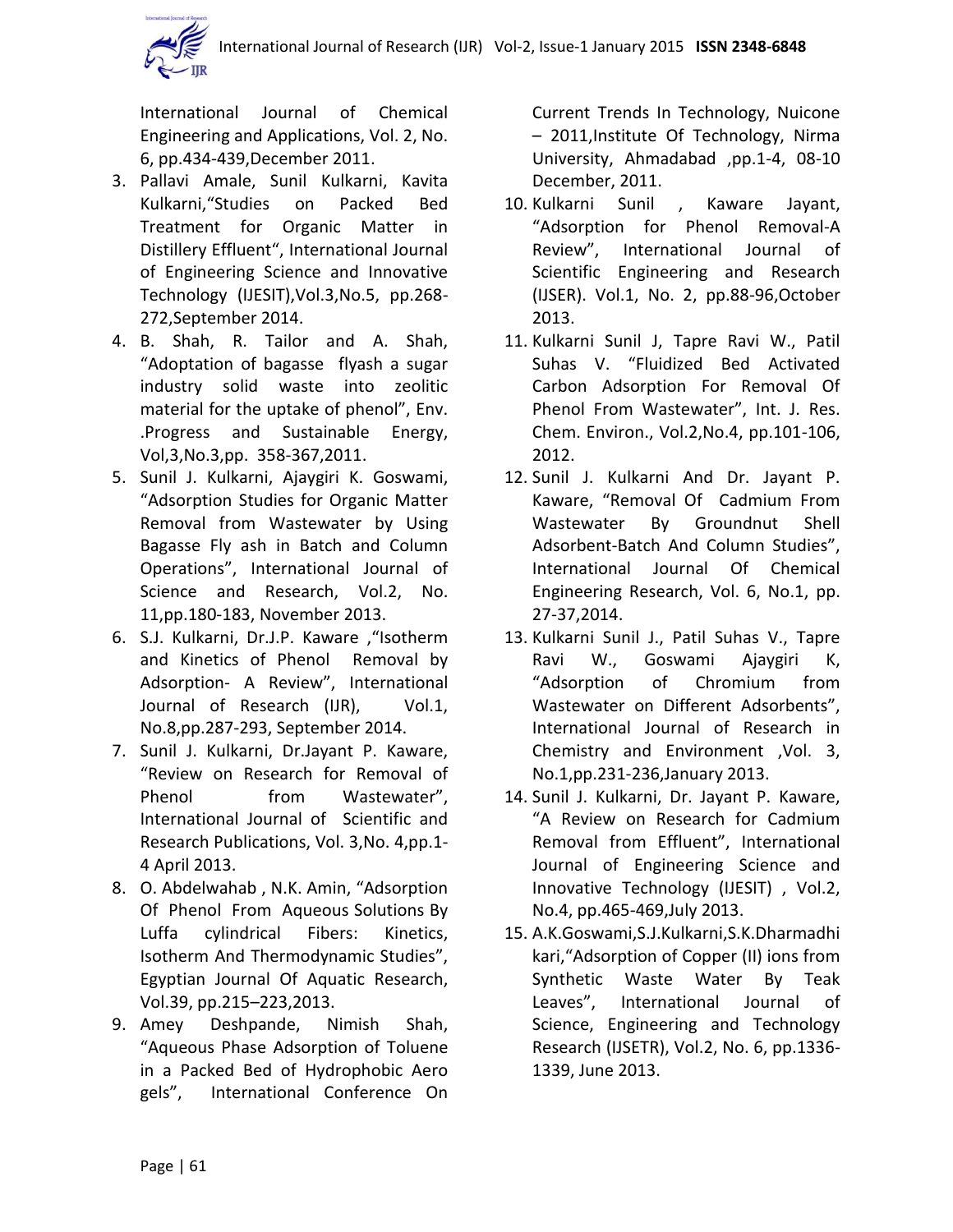

International Journal of Chemical Engineering and Applications, Vol. 2, No. 6, pp.434-439,December 2011.

- 3. Pallavi Amale, Sunil Kulkarni, Kavita Kulkarni,"Studies on Packed Bed Treatment for Organic Matter in Distillery Effluent", International Journal of Engineering Science and Innovative Technology (IJESIT),Vol.3,No.5, pp.268- 272,September 2014.
- 4. B. Shah, R. Tailor and A. Shah, "Adoptation of bagasse flyash a sugar industry solid waste into zeolitic material for the uptake of phenol", Env. .Progress and Sustainable Energy, Vol,3,No.3,pp. 358-367,2011.
- 5. Sunil J. Kulkarni, Ajaygiri K. Goswami, "Adsorption Studies for Organic Matter Removal from Wastewater by Using Bagasse Fly ash in Batch and Column Operations", International Journal of Science and Research, Vol.2, No. 11,pp.180-183, November 2013.
- 6. S.J. Kulkarni, Dr.J.P. Kaware ,"Isotherm and Kinetics of Phenol Removal by Adsorption- A Review", International Journal of Research (IJR), Vol.1, No.8,pp.287-293, September 2014.
- 7. Sunil J. Kulkarni, Dr.Jayant P. Kaware, "Review on Research for Removal of Phenol from Wastewater", International Journal of Scientific and Research Publications, Vol. 3,No. 4,pp.1- 4 April 2013.
- 8. O. Abdelwahab , N.K. Amin, "Adsorption Of Phenol From Aqueous Solutions By Luffa cylindrical Fibers: Kinetics, Isotherm And Thermodynamic Studies", Egyptian Journal Of Aquatic Research, Vol.39, pp.215–223,2013.
- 9. Amey Deshpande, Nimish Shah, "Aqueous Phase Adsorption of Toluene in a Packed Bed of Hydrophobic Aero gels", International Conference On

Current Trends In Technology, Nuicone – 2011,Institute Of Technology, Nirma University, Ahmadabad ,pp.1-4, 08-10 December, 2011.

- 10. Kulkarni Sunil , Kaware Jayant, "Adsorption for Phenol Removal-A Review", International Journal of Scientific Engineering and Research (IJSER). Vol.1, No. 2, pp.88-96,October 2013.
- 11. Kulkarni Sunil J, Tapre Ravi W., Patil Suhas V. "Fluidized Bed Activated Carbon Adsorption For Removal Of Phenol From Wastewater", Int. J. Res. Chem. Environ., Vol.2,No.4, pp.101-106, 2012.
- 12. Sunil J. Kulkarni And Dr. Jayant P. Kaware, "Removal Of Cadmium From Wastewater By Groundnut Shell Adsorbent-Batch And Column Studies", International Journal Of Chemical Engineering Research, Vol. 6, No.1, pp. 27-37,2014.
- 13. Kulkarni Sunil J., Patil Suhas V., Tapre Ravi W., Goswami Ajaygiri K, "Adsorption of Chromium from Wastewater on Different Adsorbents", International Journal of Research in Chemistry and Environment ,Vol. 3, No.1,pp.231-236,January 2013.
- 14. Sunil J. Kulkarni, Dr. Jayant P. Kaware, "A Review on Research for Cadmium Removal from Effluent", International Journal of Engineering Science and Innovative Technology (IJESIT) , Vol.2, No.4, pp.465-469,July 2013.
- 15. A.K.Goswami,S.J.Kulkarni,S.K.Dharmadhi kari,"Adsorption of Copper (II) ions from Synthetic Waste Water By Teak Leaves", International Journal of Science, Engineering and Technology Research (IJSETR), Vol.2, No. 6, pp.1336- 1339, June 2013.